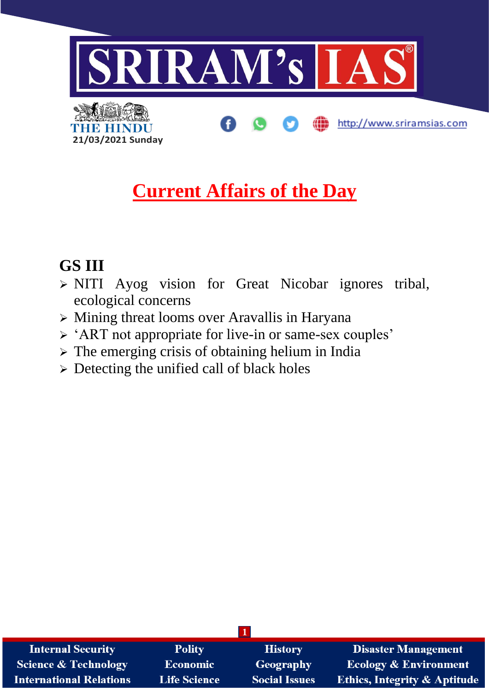

## **Current Affairs of the Day**

## **GS III**

**21/03/2021 Sunday**

**THE BELINE** 

- ➢ NITI Ayog vision for Great Nicobar ignores tribal, ecological concerns
- ➢ Mining threat looms over Aravallis in Haryana
- ➢ 'ART not appropriate for live-in or same-sex couples'
- ➢ The emerging crisis of obtaining helium in India
- ➢ Detecting the unified call of black holes

| <b>Internal Security</b>        | <b>Polity</b>       | <b>History</b>       | <b>Disaster Management</b>              |
|---------------------------------|---------------------|----------------------|-----------------------------------------|
| <b>Science &amp; Technology</b> | <b>Economic</b>     | Geography            | <b>Ecology &amp; Environment</b>        |
| <b>International Relations</b>  | <b>Life Science</b> | <b>Social Issues</b> | <b>Ethics, Integrity &amp; Aptitude</b> |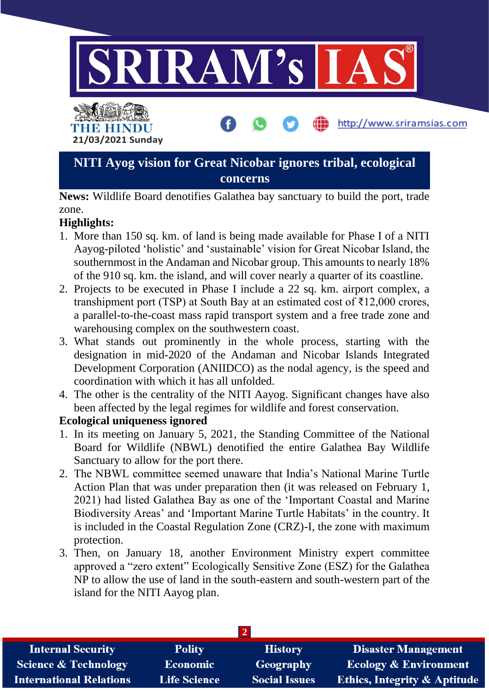

## **NITI Ayog vision for Great Nicobar ignores tribal, ecological concerns**

**News:** Wildlife Board denotifies Galathea bay sanctuary to build the port, trade zone.

## **Highlights:**

- 1. More than 150 sq. km. of land is being made available for Phase I of a NITI Aayog-piloted 'holistic' and 'sustainable' vision for Great Nicobar Island, the southernmost in the Andaman and Nicobar group. This amounts to nearly 18% of the 910 sq. km. the island, and will cover nearly a quarter of its coastline.
- 2. Projects to be executed in Phase I include a 22 sq. km. airport complex, a transhipment port (TSP) at South Bay at an estimated cost of  $\bar{\tau}$ 12,000 crores, a parallel-to-the-coast mass rapid transport system and a free trade zone and warehousing complex on the southwestern coast.
- 3. What stands out prominently in the whole process, starting with the designation in mid-2020 of the Andaman and Nicobar Islands Integrated Development Corporation (ANIIDCO) as the nodal agency, is the speed and coordination with which it has all unfolded.
- 4. The other is the centrality of the NITI Aayog. Significant changes have also been affected by the legal regimes for wildlife and forest conservation.

### **Ecological uniqueness ignored**

- 1. In its meeting on January 5, 2021, the Standing Committee of the National Board for Wildlife (NBWL) denotified the entire Galathea Bay Wildlife Sanctuary to allow for the port there.
- 2. The NBWL committee seemed unaware that India's National Marine Turtle Action Plan that was under preparation then (it was released on February 1, 2021) had listed Galathea Bay as one of the 'Important Coastal and Marine Biodiversity Areas' and 'Important Marine Turtle Habitats' in the country. It is included in the Coastal Regulation Zone (CRZ)-I, the zone with maximum protection.
- 3. Then, on January 18, another Environment Ministry expert committee approved a "zero extent" Ecologically Sensitive Zone (ESZ) for the Galathea NP to allow the use of land in the south-eastern and south-western part of the island for the NITI Aayog plan.

| <b>Internal Security</b>        | <b>Polity</b>       | <b>History</b>       | <b>Disaster Management</b>              |  |
|---------------------------------|---------------------|----------------------|-----------------------------------------|--|
| <b>Science &amp; Technology</b> | Economic            | Geography            | <b>Ecology &amp; Environment</b>        |  |
| <b>International Relations</b>  | <b>Life Science</b> | <b>Social Issues</b> | <b>Ethics, Integrity &amp; Aptitude</b> |  |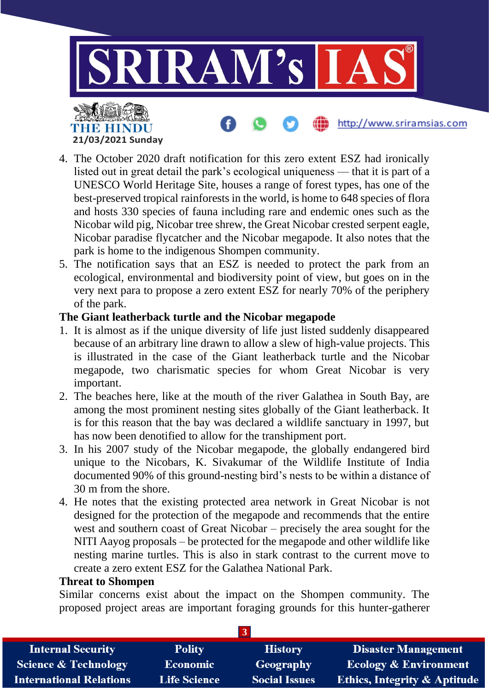

- 4. The October 2020 draft notification for this zero extent ESZ had ironically listed out in great detail the park's ecological uniqueness — that it is part of a UNESCO World Heritage Site, houses a range of forest types, has one of the best-preserved tropical rainforests in the world, is home to 648 species of flora and hosts 330 species of fauna including rare and endemic ones such as the Nicobar wild pig, Nicobar tree shrew, the Great Nicobar crested serpent eagle, Nicobar paradise flycatcher and the Nicobar megapode. It also notes that the park is home to the indigenous Shompen community.
- 5. The notification says that an ESZ is needed to protect the park from an ecological, environmental and biodiversity point of view, but goes on in the very next para to propose a zero extent ESZ for nearly 70% of the periphery of the park.

#### **The Giant leatherback turtle and the Nicobar megapode**

- 1. It is almost as if the unique diversity of life just listed suddenly disappeared because of an arbitrary line drawn to allow a slew of high-value projects. This is illustrated in the case of the Giant leatherback turtle and the Nicobar megapode, two charismatic species for whom Great Nicobar is very important.
- 2. The beaches here, like at the mouth of the river Galathea in South Bay, are among the most prominent nesting sites globally of the Giant leatherback. It is for this reason that the bay was declared a wildlife sanctuary in 1997, but has now been denotified to allow for the transhipment port.
- 3. In his 2007 study of the Nicobar megapode, the globally endangered bird unique to the Nicobars, K. Sivakumar of the Wildlife Institute of India documented 90% of this ground-nesting bird's nests to be within a distance of 30 m from the shore.
- 4. He notes that the existing protected area network in Great Nicobar is not designed for the protection of the megapode and recommends that the entire west and southern coast of Great Nicobar – precisely the area sought for the NITI Aayog proposals – be protected for the megapode and other wildlife like nesting marine turtles. This is also in stark contrast to the current move to create a zero extent ESZ for the Galathea National Park.

#### **Threat to Shompen**

**21/03/2021 Sunday**

THE HINDI

Similar concerns exist about the impact on the Shompen community. The proposed project areas are important foraging grounds for this hunter-gatherer

| <b>Internal Security</b>        | <b>Polity</b>       | <b>History</b>       | <b>Disaster Management</b>              |  |
|---------------------------------|---------------------|----------------------|-----------------------------------------|--|
| <b>Science &amp; Technology</b> | Economic            | Geography            | <b>Ecology &amp; Environment</b>        |  |
| <b>International Relations</b>  | <b>Life Science</b> | <b>Social Issues</b> | <b>Ethics, Integrity &amp; Aptitude</b> |  |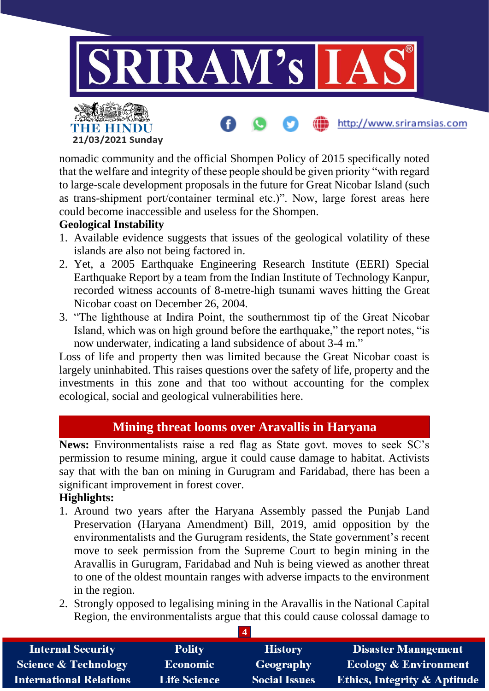

nomadic community and the official Shompen Policy of 2015 specifically noted that the welfare and integrity of these people should be given priority "with regard to large-scale development proposals in the future for Great Nicobar Island (such as trans-shipment port/container terminal etc.)". Now, large forest areas here could become inaccessible and useless for the Shompen.

#### **Geological Instability**

**21/03/2021 Sunday**

THE HINDU

- 1. Available evidence suggests that issues of the geological volatility of these islands are also not being factored in.
- 2. Yet, a 2005 Earthquake Engineering Research Institute (EERI) Special Earthquake Report by a team from the Indian Institute of Technology Kanpur, recorded witness accounts of 8-metre-high tsunami waves hitting the Great Nicobar coast on December 26, 2004.
- 3. "The lighthouse at Indira Point, the southernmost tip of the Great Nicobar Island, which was on high ground before the earthquake," the report notes, "is now underwater, indicating a land subsidence of about 3-4 m."

Loss of life and property then was limited because the Great Nicobar coast is largely uninhabited. This raises questions over the safety of life, property and the investments in this zone and that too without accounting for the complex ecological, social and geological vulnerabilities here.

## **Mining threat looms over Aravallis in Haryana**

**News:** Environmentalists raise a red flag as State govt. moves to seek SC's permission to resume mining, argue it could cause damage to habitat. Activists say that with the ban on mining in Gurugram and Faridabad, there has been a significant improvement in forest cover.

#### **Highlights:**

- 1. Around two years after the Haryana Assembly passed the Punjab Land Preservation (Haryana Amendment) Bill, 2019, amid opposition by the environmentalists and the Gurugram residents, the State government's recent move to seek permission from the Supreme Court to begin mining in the Aravallis in Gurugram, Faridabad and Nuh is being viewed as another threat to one of the oldest mountain ranges with adverse impacts to the environment in the region.
- 2. Strongly opposed to legalising mining in the Aravallis in the National Capital Region, the environmentalists argue that this could cause colossal damage to

| <b>Internal Security</b>        | <b>Polity</b>       | <b>History</b>       | <b>Disaster Management</b>              |  |
|---------------------------------|---------------------|----------------------|-----------------------------------------|--|
| <b>Science &amp; Technology</b> | <b>Economic</b>     | <b>Geography</b>     | <b>Ecology &amp; Environment</b>        |  |
| <b>International Relations</b>  | <b>Life Science</b> | <b>Social Issues</b> | <b>Ethics, Integrity &amp; Aptitude</b> |  |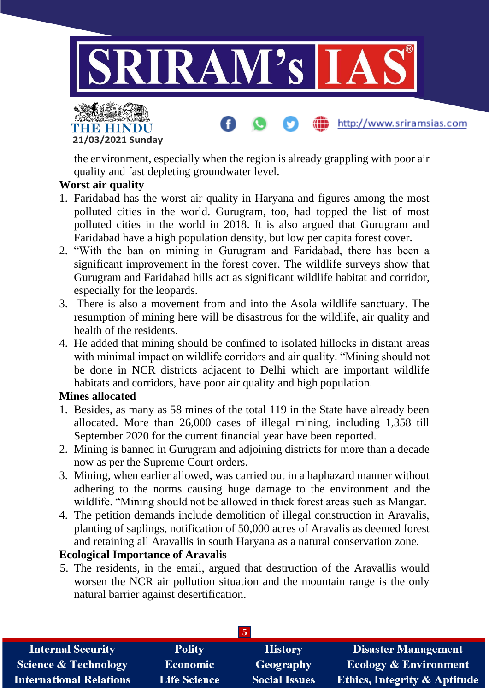

http://www.sriramsias.com



the environment, especially when the region is already grappling with poor air quality and fast depleting groundwater level.

### **Worst air quality**

- 1. Faridabad has the worst air quality in Haryana and figures among the most polluted cities in the world. Gurugram, too, had topped the list of most polluted cities in the world in 2018. It is also argued that Gurugram and Faridabad have a high population density, but low per capita forest cover.
- 2. "With the ban on mining in Gurugram and Faridabad, there has been a significant improvement in the forest cover. The wildlife surveys show that Gurugram and Faridabad hills act as significant wildlife habitat and corridor, especially for the leopards.
- 3. There is also a movement from and into the Asola wildlife sanctuary. The resumption of mining here will be disastrous for the wildlife, air quality and health of the residents.
- 4. He added that mining should be confined to isolated hillocks in distant areas with minimal impact on wildlife corridors and air quality. "Mining should not be done in NCR districts adjacent to Delhi which are important wildlife habitats and corridors, have poor air quality and high population.

### **Mines allocated**

- 1. Besides, as many as 58 mines of the total 119 in the State have already been allocated. More than 26,000 cases of illegal mining, including 1,358 till September 2020 for the current financial year have been reported.
- 2. Mining is banned in Gurugram and adjoining districts for more than a decade now as per the Supreme Court orders.
- 3. Mining, when earlier allowed, was carried out in a haphazard manner without adhering to the norms causing huge damage to the environment and the wildlife. "Mining should not be allowed in thick forest areas such as Mangar.
- 4. The petition demands include demolition of illegal construction in Aravalis, planting of saplings, notification of 50,000 acres of Aravalis as deemed forest and retaining all Aravallis in south Haryana as a natural conservation zone.

## **Ecological Importance of Aravalis**

5. The residents, in the email, argued that destruction of the Aravallis would worsen the NCR air pollution situation and the mountain range is the only natural barrier against desertification.

| <b>Internal Security</b>        | <b>Polity</b>       | <b>History</b>       | <b>Disaster Management</b>              |  |
|---------------------------------|---------------------|----------------------|-----------------------------------------|--|
| <b>Science &amp; Technology</b> | <b>Economic</b>     | Geography            | <b>Ecology &amp; Environment</b>        |  |
| <b>International Relations</b>  | <b>Life Science</b> | <b>Social Issues</b> | <b>Ethics, Integrity &amp; Aptitude</b> |  |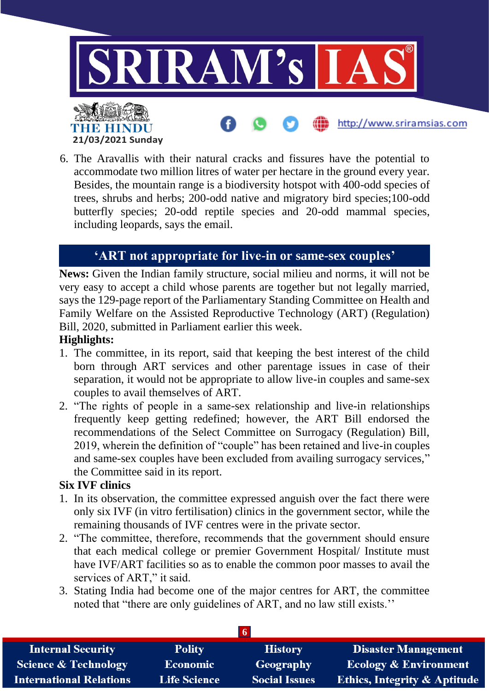

6. The Aravallis with their natural cracks and fissures have the potential to accommodate two million litres of water per hectare in the ground every year. Besides, the mountain range is a biodiversity hotspot with 400-odd species of trees, shrubs and herbs; 200-odd native and migratory bird species;100-odd butterfly species; 20-odd reptile species and 20-odd mammal species, including leopards, says the email.

## **'ART not appropriate for live-in or same-sex couples'**

**News:** Given the Indian family structure, social milieu and norms, it will not be very easy to accept a child whose parents are together but not legally married, says the 129-page report of the Parliamentary Standing Committee on Health and Family Welfare on the Assisted Reproductive Technology (ART) (Regulation) Bill, 2020, submitted in Parliament earlier this week.

#### **Highlights:**

- 1. The committee, in its report, said that keeping the best interest of the child born through ART services and other parentage issues in case of their separation, it would not be appropriate to allow live-in couples and same-sex couples to avail themselves of ART.
- 2. "The rights of people in a same-sex relationship and live-in relationships frequently keep getting redefined; however, the ART Bill endorsed the recommendations of the Select Committee on Surrogacy (Regulation) Bill, 2019, wherein the definition of "couple" has been retained and live-in couples and same-sex couples have been excluded from availing surrogacy services," the Committee said in its report.

#### **Six IVF clinics**

- 1. In its observation, the committee expressed anguish over the fact there were only six IVF (in vitro fertilisation) clinics in the government sector, while the remaining thousands of IVF centres were in the private sector.
- 2. "The committee, therefore, recommends that the government should ensure that each medical college or premier Government Hospital/ Institute must have IVF/ART facilities so as to enable the common poor masses to avail the services of ART," it said.
- 3. Stating India had become one of the major centres for ART, the committee noted that "there are only guidelines of ART, and no law still exists.''

| <b>Internal Security</b>        | <b>Polity</b>       | <b>History</b>       | <b>Disaster Management</b>              |
|---------------------------------|---------------------|----------------------|-----------------------------------------|
| <b>Science &amp; Technology</b> | <b>Economic</b>     | <b>Geography</b>     | <b>Ecology &amp; Environment</b>        |
| International Relations         | <b>Life Science</b> | <b>Social Issues</b> | <b>Ethics, Integrity &amp; Aptitude</b> |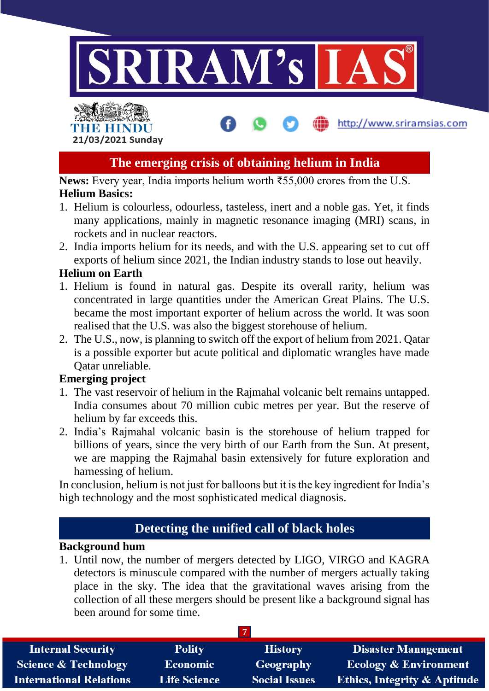

# THE HINDL **21/03/2021 Sunday**

## **The emerging crisis of obtaining helium in India**

http://www.sriramsias.com

**News:** Every year, India imports helium worth ₹55,000 crores from the U.S. **Helium Basics:**

- 1. Helium is colourless, odourless, tasteless, inert and a noble gas. Yet, it finds many applications, mainly in magnetic resonance imaging (MRI) scans, in rockets and in nuclear reactors.
- 2. India imports helium for its needs, and with the U.S. appearing set to cut off exports of helium since 2021, the Indian industry stands to lose out heavily.

#### **Helium on Earth**

- 1. Helium is found in natural gas. Despite its overall rarity, helium was concentrated in large quantities under the American Great Plains. The U.S. became the most important exporter of helium across the world. It was soon realised that the U.S. was also the biggest storehouse of helium.
- 2. The U.S., now, is planning to switch off the export of helium from 2021. Qatar is a possible exporter but acute political and diplomatic wrangles have made Qatar unreliable.

### **Emerging project**

- 1. The vast reservoir of helium in the Rajmahal volcanic belt remains untapped. India consumes about 70 million cubic metres per year. But the reserve of helium by far exceeds this.
- 2. India's Rajmahal volcanic basin is the storehouse of helium trapped for billions of years, since the very birth of our Earth from the Sun. At present, we are mapping the Rajmahal basin extensively for future exploration and harnessing of helium.

In conclusion, helium is not just for balloons but it is the key ingredient for India's high technology and the most sophisticated medical diagnosis.

## **Detecting the unified call of black holes**

### **Background hum**

1. Until now, the number of mergers detected by LIGO, VIRGO and KAGRA detectors is minuscule compared with the number of mergers actually taking place in the sky. The idea that the gravitational waves arising from the collection of all these mergers should be present like a background signal has been around for some time.

| <b>Internal Security</b>        | <b>Polity</b>       | <b>History</b>       | Disaster Management                     |
|---------------------------------|---------------------|----------------------|-----------------------------------------|
| <b>Science &amp; Technology</b> | Economic            | Geography            | <b>Ecology &amp; Environment</b>        |
| <b>International Relations</b>  | <b>Life Science</b> | <b>Social Issues</b> | <b>Ethics, Integrity &amp; Aptitude</b> |